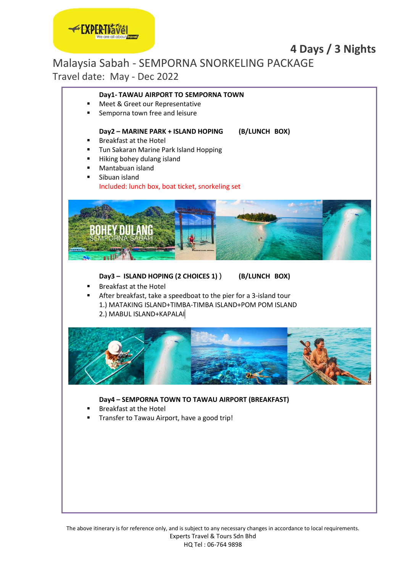## **4 Days / 3 Nights**

Malaysia Sabah - SEMPORNA SNORKELING PACKAGE

Travel date: May - Dec 2022

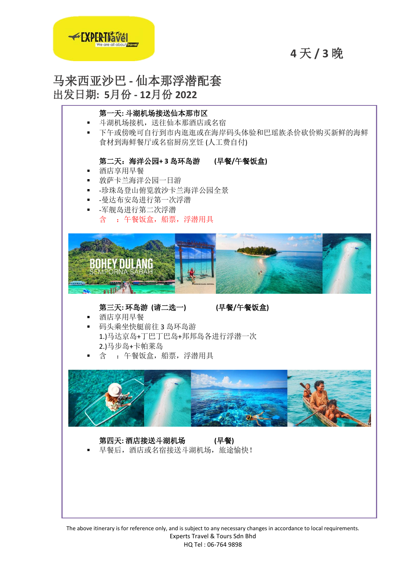

# **4** 天 **/ 3** 晚

马来西亚沙巴 **-** 仙本那浮潜配套 出发日期**: 5**月份 **- 12**月份 **2022** 



The above itinerary is for reference only, and is subject to any necessary changes in accordance to local requirements. Experts Travel & Tours Sdn Bhd HQ Tel : 06-764 9898